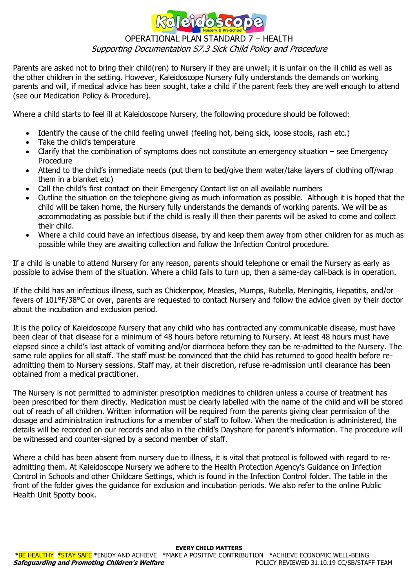

# OPERATIONAL PLAN STANDARD 7 – HEALTH Supporting Documentation S7.3 Sick Child Policy and Procedure

Parents are asked not to bring their child(ren) to Nursery if they are unwell; it is unfair on the ill child as well as the other children in the setting. However, Kaleidoscope Nursery fully understands the demands on working parents and will, if medical advice has been sought, take a child if the parent feels they are well enough to attend (see our Medication Policy & Procedure).

Where a child starts to feel ill at Kaleidoscope Nursery, the following procedure should be followed:

- Identify the cause of the child feeling unwell (feeling hot, being sick, loose stools, rash etc.)
- Take the child's temperature
- Clarify that the combination of symptoms does not constitute an emergency situation see Emergency Procedure
- Attend to the child's immediate needs (put them to bed/give them water/take layers of clothing off/wrap them in a blanket etc)
- Call the child's first contact on their Emergency Contact list on all available numbers
- Outline the situation on the telephone giving as much information as possible. Although it is hoped that the child will be taken home, the Nursery fully understands the demands of working parents. We will be as accommodating as possible but if the child is really ill then their parents will be asked to come and collect their child.
- Where a child could have an infectious disease, try and keep them away from other children for as much as possible while they are awaiting collection and follow the Infection Control procedure.

If a child is unable to attend Nursery for any reason, parents should telephone or email the Nursery as early as possible to advise them of the situation. Where a child fails to turn up, then a same-day call-back is in operation.

If the child has an infectious illness, such as Chickenpox, Measles, Mumps, Rubella, Meningitis, Hepatitis, and/or fevers of 101°F/38°C or over, parents are requested to contact Nursery and follow the advice given by their doctor about the incubation and exclusion period.

It is the policy of Kaleidoscope Nursery that any child who has contracted any communicable disease, must have been clear of that disease for a minimum of 48 hours before returning to Nursery. At least 48 hours must have elapsed since a child's last attack of vomiting and/or diarrhoea before they can be re-admitted to the Nursery. The same rule applies for all staff. The staff must be convinced that the child has returned to good health before readmitting them to Nursery sessions. Staff may, at their discretion, refuse re-admission until clearance has been obtained from a medical practitioner.

The Nursery is not permitted to administer prescription medicines to children unless a course of treatment has been prescribed for them directly. Medication must be clearly labelled with the name of the child and will be stored out of reach of all children. Written information will be required from the parents giving clear permission of the dosage and administration instructions for a member of staff to follow. When the medication is administered, the details will be recorded on our records and also in the child's Dayshare for parent's information. The procedure will be witnessed and counter-signed by a second member of staff.

Where a child has been absent from nursery due to illness, it is vital that protocol is followed with regard to readmitting them. At Kaleidoscope Nursery we adhere to the Health Protection Agency's Guidance on Infection Control in Schools and other Childcare Settings, which is found in the Infection Control folder. The table in the front of the folder gives the guidance for exclusion and incubation periods. We also refer to the online Public Health Unit Spotty book.

#### **EVERY CHILD MATTERS**